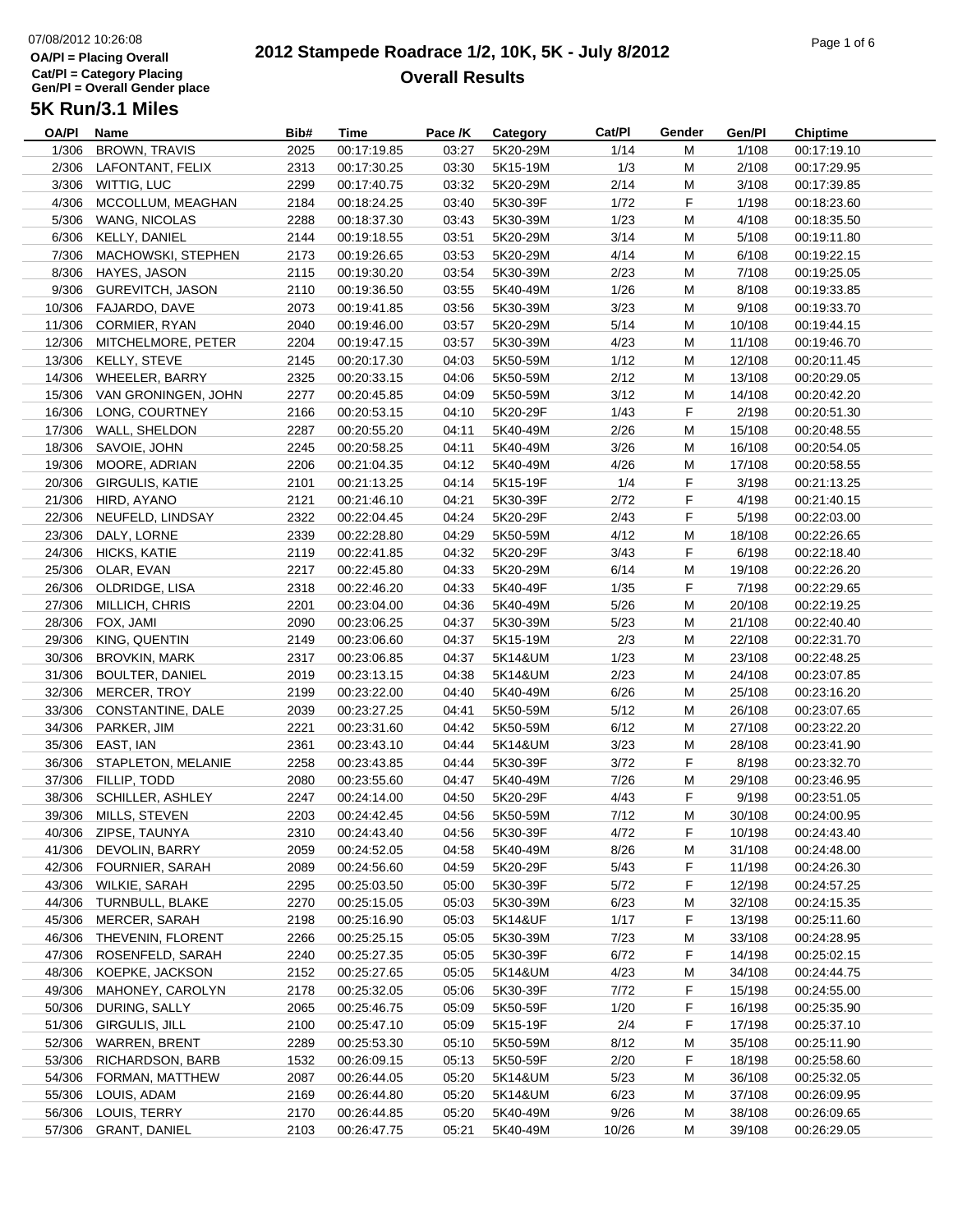# 07/08/2012 10:26:08**OA/Pl = Placing OverallCat/Pl = Category Placing Gen/Pl = Overall Gender place**

#### **2012 Stampede Roadrace 1/2, 10K, 5K - July 8/2012**  $\frac{1}{2}$  of 6  $\frac{1}{2}$  of 6  $\frac{1}{2}$  of 6  $\frac{1}{2}$  of 6  $\frac{1}{2}$  of 6  $\frac{1}{2}$   $\frac{1}{2}$   $\frac{1}{2}$   $\frac{1}{2}$   $\frac{1}{2}$   $\frac{1}{2}$   $\frac{1}{2}$   $\frac{1}{2}$   $\frac{1}{2}$   $\frac{1}{2}$   $\frac{1}{2}$   $\frac{1}{2}$   $\frac{1}{2}$   $\frac{1}{2}$   $\frac{1}{$ **Overall Results**

| <b>OA/PI</b> | Name                     | Bib# | Time                       | Pace /K | Category             | Cat/PI | Gender | Gen/Pl | <b>Chiptime</b>            |
|--------------|--------------------------|------|----------------------------|---------|----------------------|--------|--------|--------|----------------------------|
| 1/306        | <b>BROWN, TRAVIS</b>     | 2025 | 00:17:19.85                | 03:27   | 5K20-29M             | 1/14   | M      | 1/108  | 00:17:19.10                |
| 2/306        | LAFONTANT, FELIX         | 2313 | 00:17:30.25                | 03:30   | 5K15-19M             | 1/3    | M      | 2/108  | 00:17:29.95                |
| 3/306        | WITTIG, LUC              | 2299 | 00:17:40.75                | 03:32   | 5K20-29M             | 2/14   | M      | 3/108  | 00:17:39.85                |
| 4/306        | MCCOLLUM, MEAGHAN        | 2184 | 00:18:24.25                | 03:40   | 5K30-39F             | 1/72   | F      | 1/198  | 00:18:23.60                |
| 5/306        | WANG, NICOLAS            | 2288 | 00:18:37.30                | 03:43   | 5K30-39M             | 1/23   | M      | 4/108  | 00:18:35.50                |
| 6/306        | KELLY, DANIEL            | 2144 | 00:19:18.55                | 03:51   | 5K20-29M             | 3/14   | M      | 5/108  | 00:19:11.80                |
| 7/306        | MACHOWSKI, STEPHEN       | 2173 | 00:19:26.65                | 03:53   | 5K20-29M             | 4/14   | M      | 6/108  | 00:19:22.15                |
| 8/306        | HAYES, JASON             | 2115 | 00:19:30.20                | 03:54   | 5K30-39M             | 2/23   | M      | 7/108  | 00:19:25.05                |
| 9/306        | <b>GUREVITCH, JASON</b>  | 2110 | 00:19:36.50                | 03:55   | 5K40-49M             | 1/26   | M      | 8/108  | 00:19:33.85                |
| 10/306       | FAJARDO, DAVE            | 2073 | 00:19:41.85                | 03:56   | 5K30-39M             | 3/23   | M      | 9/108  | 00:19:33.70                |
| 11/306       |                          | 2040 | 00:19:46.00                | 03:57   | 5K20-29M             | 5/14   | M      | 10/108 |                            |
|              | CORMIER, RYAN            |      |                            |         |                      |        |        |        | 00:19:44.15                |
| 12/306       | MITCHELMORE, PETER       | 2204 | 00:19:47.15                | 03:57   | 5K30-39M             | 4/23   | M      | 11/108 | 00:19:46.70                |
| 13/306       | KELLY, STEVE             | 2145 | 00:20:17.30                | 04:03   | 5K50-59M             | 1/12   | M      | 12/108 | 00:20:11.45                |
| 14/306       | WHEELER, BARRY           | 2325 | 00:20:33.15                | 04:06   | 5K50-59M             | 2/12   | M      | 13/108 | 00:20:29.05                |
| 15/306       | VAN GRONINGEN, JOHN      | 2277 | 00:20:45.85                | 04:09   | 5K50-59M             | 3/12   | M      | 14/108 | 00:20:42.20                |
| 16/306       | LONG, COURTNEY           | 2166 | 00:20:53.15                | 04:10   | 5K20-29F             | 1/43   | F.     | 2/198  | 00:20:51.30                |
| 17/306       | WALL, SHELDON            | 2287 | 00:20:55.20                | 04:11   | 5K40-49M             | 2/26   | M      | 15/108 | 00:20:48.55                |
| 18/306       | SAVOIE, JOHN             | 2245 | 00:20:58.25                | 04:11   | 5K40-49M             | 3/26   | M      | 16/108 | 00:20:54.05                |
| 19/306       | MOORE, ADRIAN            | 2206 | 00:21:04.35                | 04:12   | 5K40-49M             | 4/26   | M      | 17/108 | 00:20:58.55                |
| 20/306       | <b>GIRGULIS, KATIE</b>   | 2101 | 00:21:13.25                | 04:14   | 5K15-19F             | 1/4    | F      | 3/198  | 00:21:13.25                |
| 21/306       | HIRD, AYANO              | 2121 | 00:21:46.10                | 04:21   | 5K30-39F             | 2/72   | F      | 4/198  | 00:21:40.15                |
| 22/306       | NEUFELD, LINDSAY         | 2322 | 00:22:04.45                | 04:24   | 5K20-29F             | 2/43   | F.     | 5/198  | 00:22:03.00                |
| 23/306       | DALY, LORNE              | 2339 | 00:22:28.80                | 04:29   | 5K50-59M             | 4/12   | M      | 18/108 | 00:22:26.65                |
| 24/306       | HICKS, KATIE             | 2119 | 00:22:41.85                | 04:32   | 5K20-29F             | 3/43   | F      | 6/198  | 00:22:18.40                |
| 25/306       | OLAR, EVAN               | 2217 | 00:22:45.80                | 04:33   | 5K20-29M             | 6/14   | M      | 19/108 | 00:22:26.20                |
| 26/306       | OLDRIDGE, LISA           | 2318 | 00:22:46.20                | 04:33   | 5K40-49F             | 1/35   | F      | 7/198  | 00:22:29.65                |
| 27/306       | MILLICH, CHRIS           | 2201 | 00:23:04.00                | 04:36   | 5K40-49M             | 5/26   | M      | 20/108 | 00:22:19.25                |
| 28/306       | FOX, JAMI                | 2090 | 00:23:06.25                | 04:37   | 5K30-39M             | 5/23   | M      | 21/108 | 00:22:40.40                |
| 29/306       | KING, QUENTIN            | 2149 | 00:23:06.60                | 04:37   | 5K15-19M             | 2/3    | M      | 22/108 | 00:22:31.70                |
| 30/306       | <b>BROVKIN, MARK</b>     | 2317 | 00:23:06.85                | 04:37   | 5K14&UM              | 1/23   | M      | 23/108 | 00:22:48.25                |
| 31/306       | BOULTER, DANIEL          | 2019 | 00:23:13.15                | 04:38   | 5K14&UM              | 2/23   | M      | 24/108 | 00:23:07.85                |
| 32/306       | MERCER, TROY             | 2199 | 00:23:22.00                | 04:40   | 5K40-49M             | 6/26   | M      | 25/108 | 00:23:16.20                |
| 33/306       | <b>CONSTANTINE, DALE</b> | 2039 | 00:23:27.25                | 04:41   | 5K50-59M             | 5/12   | М      | 26/108 | 00:23:07.65                |
| 34/306       | PARKER, JIM              | 2221 | 00:23:31.60                | 04:42   | 5K50-59M             | 6/12   | M      | 27/108 | 00:23:22.20                |
| 35/306       | EAST, IAN                | 2361 | 00:23:43.10                | 04:44   | 5K14&UM              | 3/23   | M      | 28/108 | 00:23:41.90                |
| 36/306       | STAPLETON, MELANIE       | 2258 | 00:23:43.85                | 04:44   | 5K30-39F             | 3/72   | F      | 8/198  | 00:23:32.70                |
| 37/306       | FILLIP, TODD             | 2080 | 00:23:55.60                | 04:47   | 5K40-49M             | 7/26   | M      | 29/108 | 00:23:46.95                |
| 38/306       | <b>SCHILLER, ASHLEY</b>  | 2247 | 00:24:14.00                | 04:50   | 5K20-29F             | 4/43   | F      | 9/198  | 00:23:51.05                |
| 39/306       | MILLS, STEVEN            | 2203 | 00:24:42.45                | 04:56   | 5K50-59M             | 7/12   | M      | 30/108 | 00:24:00.95                |
|              | 40/306 ZIPSE, TAUNYA     | 2310 | 00:24:43.40                | 04:56   | 5K30-39F             | 4/72   | F      | 10/198 | 00:24:43.40                |
| 41/306       | DEVOLIN, BARRY           | 2059 | 00:24:52.05                | 04:58   | 5K40-49M             | 8/26   | M      | 31/108 | 00:24:48.00                |
| 42/306       | <b>FOURNIER, SARAH</b>   | 2089 | 00:24:56.60                | 04:59   | 5K20-29F             | 5/43   | F.     | 11/198 | 00:24:26.30                |
| 43/306       | WILKIE, SARAH            | 2295 | 00:25:03.50                | 05:00   | 5K30-39F             | 5/72   | F      | 12/198 | 00:24:57.25                |
| 44/306       | TURNBULL, BLAKE          | 2270 | 00:25:15.05                | 05:03   | 5K30-39M             | 6/23   | М      | 32/108 | 00:24:15.35                |
| 45/306       | MERCER, SARAH            | 2198 | 00:25:16.90                | 05:03   | 5K14&UF              | 1/17   | F      | 13/198 | 00:25:11.60                |
| 46/306       | THEVENIN, FLORENT        | 2266 | 00:25:25.15                | 05:05   | 5K30-39M             | 7/23   | М      | 33/108 | 00:24:28.95                |
| 47/306       | ROSENFELD, SARAH         | 2240 | 00:25:27.35                | 05:05   | 5K30-39F             | 6/72   | F      | 14/198 | 00:25:02.15                |
| 48/306       | KOEPKE, JACKSON          | 2152 | 00:25:27.65                | 05:05   | 5K14&UM              | 4/23   | M      | 34/108 | 00:24:44.75                |
| 49/306       | MAHONEY, CAROLYN         | 2178 | 00:25:32.05                | 05:06   | 5K30-39F             | 7/72   | F      | 15/198 | 00:24:55.00                |
| 50/306       | DURING, SALLY            | 2065 | 00:25:46.75                | 05:09   | 5K50-59F             | 1/20   | F.     | 16/198 | 00:25:35.90                |
| 51/306       | GIRGULIS, JILL           | 2100 | 00:25:47.10                | 05:09   | 5K15-19F             | 2/4    | F      | 17/198 | 00:25:37.10                |
| 52/306       | <b>WARREN, BRENT</b>     | 2289 |                            |         |                      | 8/12   |        | 35/108 |                            |
| 53/306       | RICHARDSON, BARB         | 1532 | 00:25:53.30<br>00:26:09.15 | 05:10   | 5K50-59M<br>5K50-59F | 2/20   | М<br>F | 18/198 | 00:25:11.90<br>00:25:58.60 |
| 54/306       | FORMAN, MATTHEW          |      |                            | 05:13   | 5K14&UM              |        |        | 36/108 | 00:25:32.05                |
|              |                          | 2087 | 00:26:44.05                | 05:20   |                      | 5/23   | M      |        |                            |
| 55/306       | LOUIS, ADAM              | 2169 | 00:26:44.80                | 05:20   | 5K14&UM              | 6/23   | M      | 37/108 | 00:26:09.95                |
| 56/306       | LOUIS, TERRY             | 2170 | 00:26:44.85                | 05:20   | 5K40-49M             | 9/26   | M      | 38/108 | 00:26:09.65                |
|              | 57/306 GRANT, DANIEL     | 2103 | 00:26:47.75                | 05:21   | 5K40-49M             | 10/26  | М      | 39/108 | 00:26:29.05                |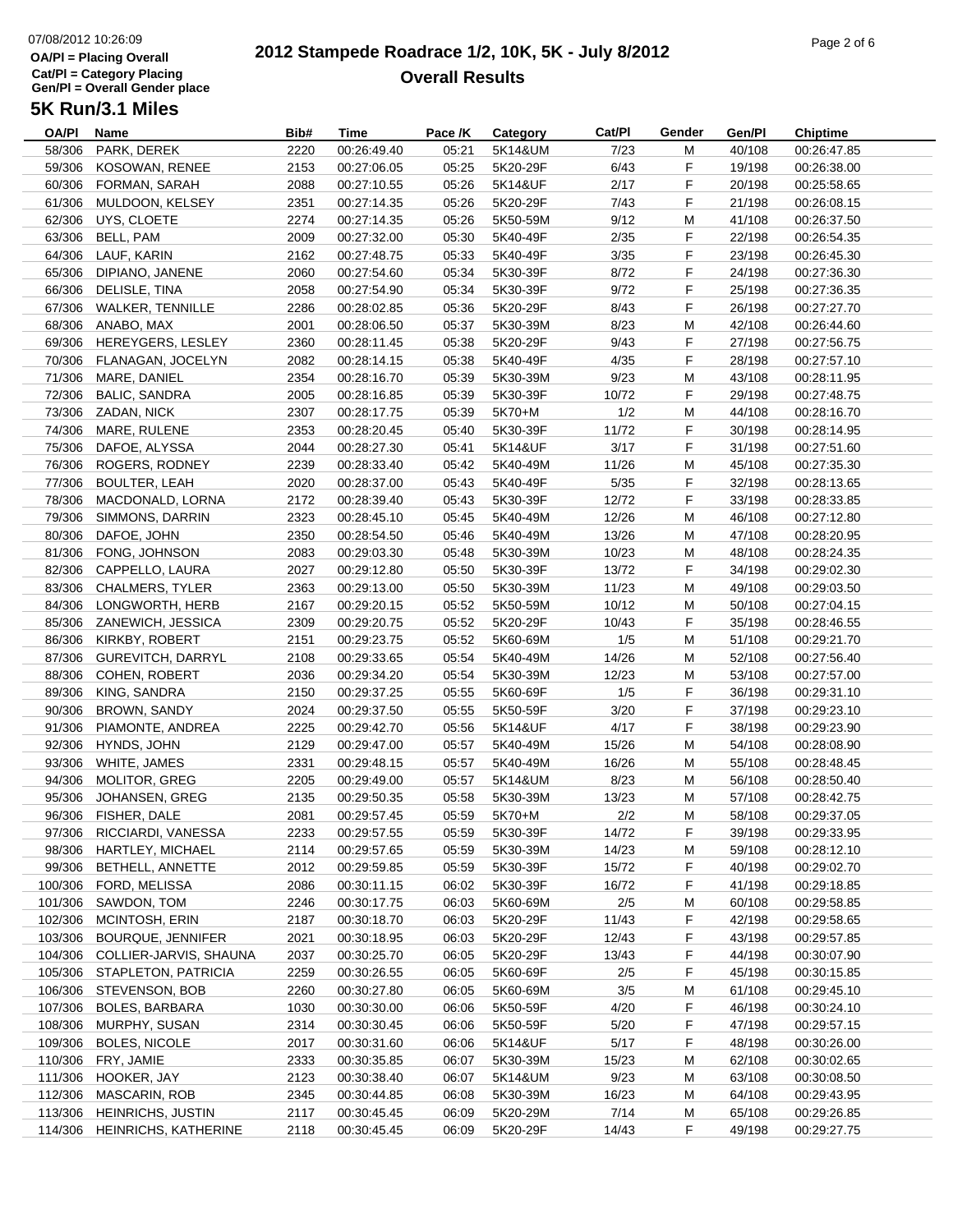## 07/08/2012 10:26:09**OA/Pl = Placing OverallCat/Pl = Category Placing Gen/Pl = Overall Gender place**

#### **2012 Stampede Roadrace 1/2, 10K, 5K - July 8/2012**  $P_1$  of  $P_2$  of  $P_3$  of  $P_4$  of  $P_5$  of  $P_6$  or  $P_7$  or  $P_8$  or  $P_9$  or  $P_9$  or  $P_9$  or  $P_9$  or  $P_9$  or  $P_9$  or  $P_9$  or  $P_9$  or  $P_9$  or  $P_9$  or  $P_9$  or  $P_9$  or  $P_9$  or  $P_9$  or  $P_9$  or  $P_9$  or  $P_9$ **Overall Results**

| OA/PI   | Name                           | Bib# | Time        | Pace /K | Category             | Cat/PI | Gender | Gen/Pl | <b>Chiptime</b> |  |
|---------|--------------------------------|------|-------------|---------|----------------------|--------|--------|--------|-----------------|--|
| 58/306  | PARK, DEREK                    | 2220 | 00:26:49.40 | 05:21   | 5K14&UM              | 7/23   | м      | 40/108 | 00:26:47.85     |  |
| 59/306  | KOSOWAN, RENEE                 | 2153 | 00:27:06.05 | 05:25   | 5K20-29F             | 6/43   | F      | 19/198 | 00:26:38.00     |  |
| 60/306  | FORMAN, SARAH                  | 2088 | 00:27:10.55 | 05:26   | 5K14&UF              | 2/17   | F      | 20/198 | 00:25:58.65     |  |
| 61/306  | MULDOON, KELSEY                | 2351 | 00:27:14.35 | 05:26   | 5K20-29F             | 7/43   | F      | 21/198 | 00:26:08.15     |  |
| 62/306  | UYS, CLOETE                    | 2274 | 00:27:14.35 | 05:26   | 5K50-59M             | 9/12   | M      | 41/108 | 00:26:37.50     |  |
| 63/306  | BELL, PAM                      | 2009 | 00:27:32.00 | 05:30   | 5K40-49F             | 2/35   | F      | 22/198 | 00:26:54.35     |  |
| 64/306  | LAUF, KARIN                    | 2162 | 00:27:48.75 | 05:33   | 5K40-49F             | 3/35   | F      | 23/198 | 00:26:45.30     |  |
| 65/306  | DIPIANO, JANENE                | 2060 | 00:27:54.60 | 05:34   | 5K30-39F             | 8/72   | F      | 24/198 | 00:27:36.30     |  |
| 66/306  | DELISLE, TINA                  | 2058 | 00:27:54.90 | 05:34   | 5K30-39F             | 9/72   | F      | 25/198 | 00:27:36.35     |  |
|         | 67/306 WALKER, TENNILLE        | 2286 | 00:28:02.85 | 05:36   | 5K20-29F             | 8/43   | F      | 26/198 | 00:27:27.70     |  |
|         | 68/306 ANABO, MAX              | 2001 | 00:28:06.50 | 05:37   | 5K30-39M             | 8/23   | M      | 42/108 | 00:26:44.60     |  |
|         | 69/306 HEREYGERS, LESLEY       | 2360 | 00:28:11.45 | 05:38   | 5K20-29F             | 9/43   | F.     | 27/198 | 00:27:56.75     |  |
|         | 70/306 FLANAGAN, JOCELYN       | 2082 | 00:28:14.15 | 05:38   | 5K40-49F             | 4/35   | F.     | 28/198 | 00:27:57.10     |  |
|         | 71/306 MARE, DANIEL            | 2354 | 00:28:16.70 | 05:39   | 5K30-39M             | 9/23   | M      | 43/108 | 00:28:11.95     |  |
| 72/306  | BALIC, SANDRA                  | 2005 | 00:28:16.85 | 05:39   | 5K30-39F             | 10/72  | F.     | 29/198 | 00:27:48.75     |  |
|         | 73/306 ZADAN, NICK             | 2307 | 00:28:17.75 | 05:39   | 5K70+M               | 1/2    | M      | 44/108 | 00:28:16.70     |  |
| 74/306  | MARE, RULENE                   | 2353 | 00:28:20.45 | 05:40   | 5K30-39F             | 11/72  | F      | 30/198 | 00:28:14.95     |  |
|         | 75/306 DAFOE, ALYSSA           | 2044 | 00:28:27.30 | 05:41   | 5K14&UF              | 3/17   | F      | 31/198 | 00:27:51.60     |  |
| 76/306  | ROGERS, RODNEY                 | 2239 | 00:28:33.40 | 05:42   | 5K40-49M             | 11/26  | M      | 45/108 | 00:27:35.30     |  |
| 77/306  | <b>BOULTER, LEAH</b>           | 2020 | 00:28:37.00 | 05:43   | 5K40-49F             | 5/35   | F.     | 32/198 | 00:28:13.65     |  |
| 78/306  | MACDONALD, LORNA               | 2172 | 00:28:39.40 | 05:43   | 5K30-39F             | 12/72  | F      | 33/198 | 00:28:33.85     |  |
| 79/306  | SIMMONS, DARRIN                | 2323 | 00:28:45.10 | 05:45   | 5K40-49M             | 12/26  | M      | 46/108 | 00:27:12.80     |  |
| 80/306  | DAFOE, JOHN                    | 2350 |             |         | 5K40-49M             | 13/26  | M      | 47/108 |                 |  |
|         | FONG, JOHNSON                  |      | 00:28:54.50 | 05:46   |                      |        |        |        | 00:28:20.95     |  |
| 81/306  | CAPPELLO, LAURA                | 2083 | 00:29:03.30 | 05:48   | 5K30-39M<br>5K30-39F | 10/23  | M      | 48/108 | 00:28:24.35     |  |
| 82/306  |                                | 2027 | 00:29:12.80 | 05:50   |                      | 13/72  | F      | 34/198 | 00:29:02.30     |  |
|         | 83/306 CHALMERS, TYLER         | 2363 | 00:29:13.00 | 05:50   | 5K30-39M             | 11/23  | M      | 49/108 | 00:29:03.50     |  |
| 84/306  | LONGWORTH, HERB                | 2167 | 00:29:20.15 | 05:52   | 5K50-59M             | 10/12  | M      | 50/108 | 00:27:04.15     |  |
|         | 85/306 ZANEWICH, JESSICA       | 2309 | 00:29:20.75 | 05:52   | 5K20-29F             | 10/43  | F.     | 35/198 | 00:28:46.55     |  |
|         | 86/306 KIRKBY, ROBERT          | 2151 | 00:29:23.75 | 05:52   | 5K60-69M             | 1/5    | M      | 51/108 | 00:29:21.70     |  |
|         | 87/306 GUREVITCH, DARRYL       | 2108 | 00:29:33.65 | 05:54   | 5K40-49M             | 14/26  | M      | 52/108 | 00:27:56.40     |  |
| 88/306  | COHEN, ROBERT                  | 2036 | 00:29:34.20 | 05:54   | 5K30-39M             | 12/23  | M      | 53/108 | 00:27:57.00     |  |
| 89/306  | KING, SANDRA                   | 2150 | 00:29:37.25 | 05:55   | 5K60-69F             | 1/5    | F      | 36/198 | 00:29:31.10     |  |
| 90/306  | <b>BROWN, SANDY</b>            | 2024 | 00:29:37.50 | 05:55   | 5K50-59F             | 3/20   | F      | 37/198 | 00:29:23.10     |  |
| 91/306  | PIAMONTE, ANDREA               | 2225 | 00:29:42.70 | 05:56   | 5K14&UF              | 4/17   | F      | 38/198 | 00:29:23.90     |  |
| 92/306  | HYNDS, JOHN                    | 2129 | 00:29:47.00 | 05:57   | 5K40-49M             | 15/26  | M      | 54/108 | 00:28:08.90     |  |
|         | 93/306 WHITE, JAMES            | 2331 | 00:29:48.15 | 05:57   | 5K40-49M             | 16/26  | M      | 55/108 | 00:28:48.45     |  |
| 94/306  | MOLITOR, GREG                  | 2205 | 00:29:49.00 | 05:57   | 5K14&UM              | 8/23   | M      | 56/108 | 00:28:50.40     |  |
| 95/306  | JOHANSEN, GREG                 | 2135 | 00:29:50.35 | 05:58   | 5K30-39M             | 13/23  | м      | 57/108 | 00:28:42.75     |  |
| 96/306  | FISHER, DALE                   | 2081 | 00:29:57.45 | 05:59   | 5K70+M               | 2/2    | м      | 58/108 | 00:29:37.05     |  |
|         | 97/306 RICCIARDI, VANESSA      | 2233 | 00:29:57.55 | 05:59   | 5K30-39F             | 14/72  | F      | 39/198 | 00:29:33.95     |  |
| 98/306  | HARTLEY, MICHAEL               | 2114 | 00:29:57.65 | 05:59   | 5K30-39M             | 14/23  | M      | 59/108 | 00:28:12.10     |  |
|         | 99/306 BETHELL, ANNETTE        | 2012 | 00:29:59.85 | 05:59   | 5K30-39F             | 15/72  | F      | 40/198 | 00:29:02.70     |  |
| 100/306 | FORD, MELISSA                  | 2086 | 00:30:11.15 | 06:02   | 5K30-39F             | 16/72  | F      | 41/198 | 00:29:18.85     |  |
| 101/306 | SAWDON, TOM                    | 2246 | 00:30:17.75 | 06:03   | 5K60-69M             | 2/5    | M      | 60/108 | 00:29:58.85     |  |
| 102/306 | MCINTOSH, ERIN                 | 2187 | 00:30:18.70 | 06:03   | 5K20-29F             | 11/43  | F      | 42/198 | 00:29:58.65     |  |
| 103/306 | BOURQUE, JENNIFER              | 2021 | 00:30:18.95 | 06:03   | 5K20-29F             | 12/43  | F      | 43/198 | 00:29:57.85     |  |
|         | 104/306 COLLIER-JARVIS, SHAUNA | 2037 | 00:30:25.70 | 06:05   | 5K20-29F             | 13/43  | F      | 44/198 | 00:30:07.90     |  |
|         | 105/306 STAPLETON, PATRICIA    | 2259 | 00:30:26.55 | 06:05   | 5K60-69F             | 2/5    | F      | 45/198 | 00:30:15.85     |  |
|         | 106/306 STEVENSON, BOB         | 2260 | 00:30:27.80 | 06:05   | 5K60-69M             | 3/5    | M      | 61/108 | 00:29:45.10     |  |
| 107/306 | <b>BOLES, BARBARA</b>          | 1030 | 00:30:30.00 | 06:06   | 5K50-59F             | 4/20   | F      | 46/198 | 00:30:24.10     |  |
| 108/306 | MURPHY, SUSAN                  | 2314 | 00:30:30.45 | 06:06   | 5K50-59F             | 5/20   | F      | 47/198 | 00:29:57.15     |  |
| 109/306 | <b>BOLES, NICOLE</b>           | 2017 | 00:30:31.60 | 06:06   | 5K14&UF              | 5/17   | F      | 48/198 | 00:30:26.00     |  |
| 110/306 | FRY, JAMIE                     | 2333 | 00:30:35.85 | 06:07   | 5K30-39M             | 15/23  | M      | 62/108 | 00:30:02.65     |  |
|         | 111/306 HOOKER, JAY            | 2123 | 00:30:38.40 | 06:07   | 5K14&UM              | 9/23   | M      | 63/108 | 00:30:08.50     |  |
| 112/306 | <b>MASCARIN, ROB</b>           | 2345 | 00:30:44.85 | 06:08   | 5K30-39M             | 16/23  | M      | 64/108 | 00:29:43.95     |  |
| 113/306 | <b>HEINRICHS, JUSTIN</b>       | 2117 | 00:30:45.45 | 06:09   | 5K20-29M             | 7/14   | M      | 65/108 | 00:29:26.85     |  |
|         | 114/306 HEINRICHS, KATHERINE   | 2118 | 00:30:45.45 | 06:09   | 5K20-29F             | 14/43  | F      | 49/198 | 00:29:27.75     |  |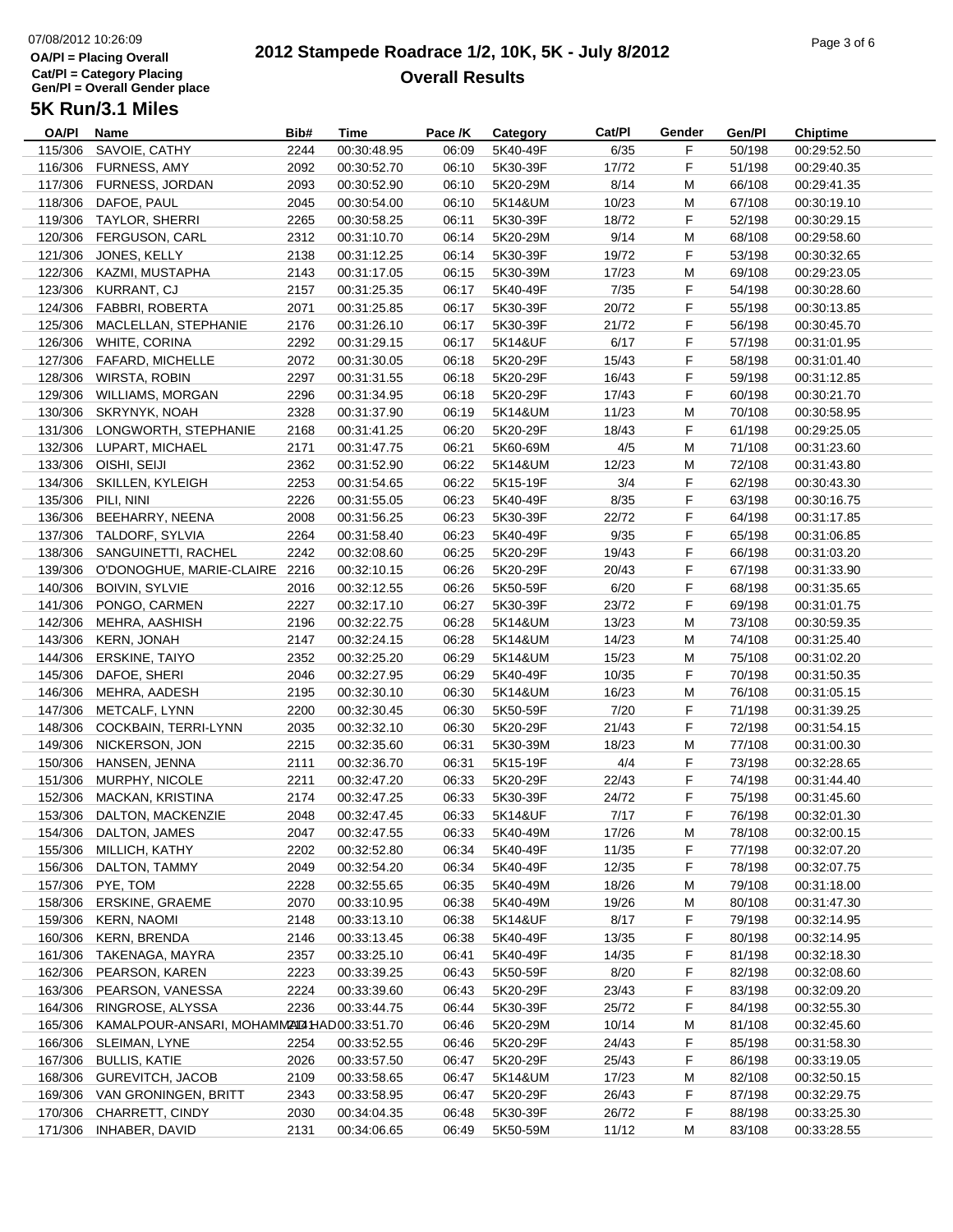# 07/08/2012 10:26:09**OA/Pl = Placing OverallCat/Pl = Category Placing Gen/Pl = Overall Gender place**

#### **2012 Stampede Roadrace 1/2, 10K, 5K - July 8/2012**  $P_1$  and  $P_2$  of  $P_3$  of  $P_4$  of  $P_5$  of  $P_6$  or  $P_7$  or  $P_8$  or  $P_9$  or  $P_9$  or  $P_9$  or  $P_9$  or  $P_9$  or  $P_9$  or  $P_9$  or  $P_9$  or  $P_9$  or  $P_9$  or  $P_9$  or  $P_9$  or  $P_9$  or  $P_9$  or  $P_9$  or  $P_9$  or  $P_9$ **Overall Results**

| OA/PI   | Name                                        | Bib# | <b>Time</b> | Pace /K | Category | Cat/Pl | Gender | Gen/Pl | <b>Chiptime</b> |
|---------|---------------------------------------------|------|-------------|---------|----------|--------|--------|--------|-----------------|
| 115/306 | SAVOIE, CATHY                               | 2244 | 00:30:48.95 | 06:09   | 5K40-49F | 6/35   | F      | 50/198 | 00:29:52.50     |
| 116/306 | <b>FURNESS, AMY</b>                         | 2092 | 00:30:52.70 | 06:10   | 5K30-39F | 17/72  | F      | 51/198 | 00:29:40.35     |
| 117/306 | <b>FURNESS, JORDAN</b>                      | 2093 | 00:30:52.90 | 06:10   | 5K20-29M | 8/14   | M      | 66/108 | 00:29:41.35     |
| 118/306 | DAFOE, PAUL                                 | 2045 | 00:30:54.00 | 06:10   | 5K14&UM  | 10/23  | M      | 67/108 | 00:30:19.10     |
| 119/306 | <b>TAYLOR, SHERRI</b>                       | 2265 | 00:30:58.25 | 06:11   | 5K30-39F | 18/72  | F      | 52/198 | 00:30:29.15     |
| 120/306 | <b>FERGUSON, CARL</b>                       | 2312 | 00:31:10.70 | 06:14   | 5K20-29M | 9/14   | M      | 68/108 | 00:29:58.60     |
| 121/306 | JONES, KELLY                                | 2138 | 00:31:12.25 | 06:14   | 5K30-39F | 19/72  | F      | 53/198 | 00:30:32.65     |
| 122/306 | KAZMI, MUSTAPHA                             | 2143 | 00:31:17.05 | 06:15   | 5K30-39M | 17/23  | М      | 69/108 | 00:29:23.05     |
| 123/306 | KURRANT, CJ                                 | 2157 | 00:31:25.35 | 06:17   | 5K40-49F | 7/35   | F      | 54/198 | 00:30:28.60     |
| 124/306 | FABBRI, ROBERTA                             | 2071 | 00:31:25.85 | 06:17   | 5K30-39F | 20/72  | F      | 55/198 | 00:30:13.85     |
| 125/306 | MACLELLAN, STEPHANIE                        | 2176 | 00:31:26.10 | 06:17   | 5K30-39F | 21/72  | F      | 56/198 | 00:30:45.70     |
|         | 126/306 WHITE, CORINA                       | 2292 | 00:31:29.15 | 06:17   | 5K14&UF  | 6/17   | F.     | 57/198 | 00:31:01.95     |
| 127/306 | FAFARD, MICHELLE                            | 2072 | 00:31:30.05 | 06:18   | 5K20-29F | 15/43  | F      | 58/198 | 00:31:01.40     |
| 128/306 | WIRSTA, ROBIN                               | 2297 | 00:31:31.55 | 06:18   | 5K20-29F | 16/43  | F.     | 59/198 | 00:31:12.85     |
| 129/306 | WILLIAMS, MORGAN                            | 2296 | 00:31:34.95 | 06:18   | 5K20-29F | 17/43  | F      | 60/198 | 00:30:21.70     |
|         |                                             |      |             |         |          |        |        |        |                 |
| 130/306 | SKRYNYK, NOAH                               | 2328 | 00:31:37.90 | 06:19   | 5K14&UM  | 11/23  | М      | 70/108 | 00:30:58.95     |
| 131/306 | LONGWORTH, STEPHANIE                        | 2168 | 00:31:41.25 | 06:20   | 5K20-29F | 18/43  | F      | 61/198 | 00:29:25.05     |
|         | 132/306 LUPART, MICHAEL                     | 2171 | 00:31:47.75 | 06:21   | 5K60-69M | 4/5    | M      | 71/108 | 00:31:23.60     |
|         | 133/306 OISHI, SEIJI                        | 2362 | 00:31:52.90 | 06:22   | 5K14&UM  | 12/23  | М      | 72/108 | 00:31:43.80     |
| 134/306 | SKILLEN, KYLEIGH                            | 2253 | 00:31:54.65 | 06:22   | 5K15-19F | 3/4    | F      | 62/198 | 00:30:43.30     |
| 135/306 | PILI, NINI                                  | 2226 | 00:31:55.05 | 06:23   | 5K40-49F | 8/35   | F      | 63/198 | 00:30:16.75     |
| 136/306 | BEEHARRY, NEENA                             | 2008 | 00:31:56.25 | 06:23   | 5K30-39F | 22/72  | F      | 64/198 | 00:31:17.85     |
| 137/306 | TALDORF, SYLVIA                             | 2264 | 00:31:58.40 | 06:23   | 5K40-49F | 9/35   | F      | 65/198 | 00:31:06.85     |
| 138/306 | SANGUINETTI, RACHEL                         | 2242 | 00:32:08.60 | 06:25   | 5K20-29F | 19/43  | F      | 66/198 | 00:31:03.20     |
| 139/306 | O'DONOGHUE, MARIE-CLAIRE 2216               |      | 00:32:10.15 | 06:26   | 5K20-29F | 20/43  | F      | 67/198 | 00:31:33.90     |
| 140/306 | <b>BOIVIN, SYLVIE</b>                       | 2016 | 00:32:12.55 | 06:26   | 5K50-59F | 6/20   | F      | 68/198 | 00:31:35.65     |
| 141/306 | PONGO, CARMEN                               | 2227 | 00:32:17.10 | 06:27   | 5K30-39F | 23/72  | F      | 69/198 | 00:31:01.75     |
| 142/306 | MEHRA, AASHISH                              | 2196 | 00:32:22.75 | 06:28   | 5K14&UM  | 13/23  | M      | 73/108 | 00:30:59.35     |
| 143/306 | <b>KERN, JONAH</b>                          | 2147 | 00:32:24.15 | 06:28   | 5K14&UM  | 14/23  | M      | 74/108 | 00:31:25.40     |
| 144/306 | <b>ERSKINE, TAIYO</b>                       | 2352 | 00:32:25.20 | 06:29   | 5K14&UM  | 15/23  | M      | 75/108 | 00:31:02.20     |
|         |                                             |      |             |         |          |        | F      |        |                 |
| 145/306 | DAFOE, SHERI                                | 2046 | 00:32:27.95 | 06:29   | 5K40-49F | 10/35  |        | 70/198 | 00:31:50.35     |
| 146/306 | MEHRA, AADESH                               | 2195 | 00:32:30.10 | 06:30   | 5K14&UM  | 16/23  | M      | 76/108 | 00:31:05.15     |
| 147/306 | METCALF, LYNN                               | 2200 | 00:32:30.45 | 06:30   | 5K50-59F | 7/20   | F      | 71/198 | 00:31:39.25     |
| 148/306 | COCKBAIN, TERRI-LYNN                        | 2035 | 00:32:32.10 | 06:30   | 5K20-29F | 21/43  | F.     | 72/198 | 00:31:54.15     |
| 149/306 | NICKERSON, JON                              | 2215 | 00:32:35.60 | 06:31   | 5K30-39M | 18/23  | М      | 77/108 | 00:31:00.30     |
| 150/306 | HANSEN, JENNA                               | 2111 | 00:32:36.70 | 06:31   | 5K15-19F | 4/4    | F      | 73/198 | 00:32:28.65     |
| 151/306 | MURPHY, NICOLE                              | 2211 | 00:32:47.20 | 06:33   | 5K20-29F | 22/43  | F      | 74/198 | 00:31:44.40     |
| 152/306 | MACKAN, KRISTINA                            | 2174 | 00:32:47.25 | 06:33   | 5K30-39F | 24/72  | F      | 75/198 | 00:31:45.60     |
| 153/306 | DALTON, MACKENZIE                           | 2048 | 00:32:47.45 | 06:33   | 5K14&UF  | 7/17   | F.     | 76/198 | 00:32:01.30     |
|         | 154/306 DALTON, JAMES                       | 2047 | 00:32:47.55 | 06:33   | 5K40-49M | 17/26  | M      | 78/108 | 00:32:00.15     |
| 155/306 | MILLICH, KATHY                              | 2202 | 00:32:52.80 | 06:34   | 5K40-49F | 11/35  | F      | 77/198 | 00:32:07.20     |
| 156/306 | DALTON, TAMMY                               | 2049 | 00:32:54.20 | 06:34   | 5K40-49F | 12/35  | F      | 78/198 | 00:32:07.75     |
| 157/306 | PYE, TOM                                    | 2228 | 00:32:55.65 | 06:35   | 5K40-49M | 18/26  | M      | 79/108 | 00:31:18.00     |
| 158/306 | <b>ERSKINE, GRAEME</b>                      | 2070 | 00:33:10.95 | 06:38   | 5K40-49M | 19/26  | M      | 80/108 | 00:31:47.30     |
| 159/306 | <b>KERN, NAOMI</b>                          | 2148 | 00:33:13.10 | 06:38   | 5K14&UF  | 8/17   | F      | 79/198 | 00:32:14.95     |
| 160/306 | <b>KERN, BRENDA</b>                         | 2146 | 00:33:13.45 | 06:38   | 5K40-49F | 13/35  | F      | 80/198 | 00:32:14.95     |
| 161/306 | TAKENAGA, MAYRA                             | 2357 | 00:33:25.10 | 06:41   | 5K40-49F | 14/35  | F      | 81/198 | 00:32:18.30     |
| 162/306 | PEARSON, KAREN                              | 2223 | 00:33:39.25 | 06:43   | 5K50-59F | 8/20   | F      | 82/198 | 00:32:08.60     |
| 163/306 | PEARSON, VANESSA                            | 2224 | 00:33:39.60 | 06:43   | 5K20-29F |        | F      | 83/198 | 00:32:09.20     |
|         |                                             |      |             |         |          | 23/43  |        |        |                 |
| 164/306 | RINGROSE, ALYSSA                            | 2236 | 00:33:44.75 | 06:44   | 5K30-39F | 25/72  | F      | 84/198 | 00:32:55.30     |
| 165/306 | KAMALPOUR-ANSARI, MOHAMM24D2 HAD00:33:51.70 |      |             | 06:46   | 5K20-29M | 10/14  | M      | 81/108 | 00:32:45.60     |
| 166/306 | SLEIMAN, LYNE                               | 2254 | 00:33:52.55 | 06:46   | 5K20-29F | 24/43  | F      | 85/198 | 00:31:58.30     |
| 167/306 | <b>BULLIS, KATIE</b>                        | 2026 | 00:33:57.50 | 06:47   | 5K20-29F | 25/43  | F      | 86/198 | 00:33:19.05     |
| 168/306 | <b>GUREVITCH, JACOB</b>                     | 2109 | 00:33:58.65 | 06:47   | 5K14&UM  | 17/23  | M      | 82/108 | 00:32:50.15     |
| 169/306 | VAN GRONINGEN, BRITT                        | 2343 | 00:33:58.95 | 06:47   | 5K20-29F | 26/43  | F      | 87/198 | 00:32:29.75     |
| 170/306 | CHARRETT, CINDY                             | 2030 | 00:34:04.35 | 06:48   | 5K30-39F | 26/72  | F      | 88/198 | 00:33:25.30     |
| 171/306 | INHABER, DAVID                              | 2131 | 00:34:06.65 | 06:49   | 5K50-59M | 11/12  | M      | 83/108 | 00:33:28.55     |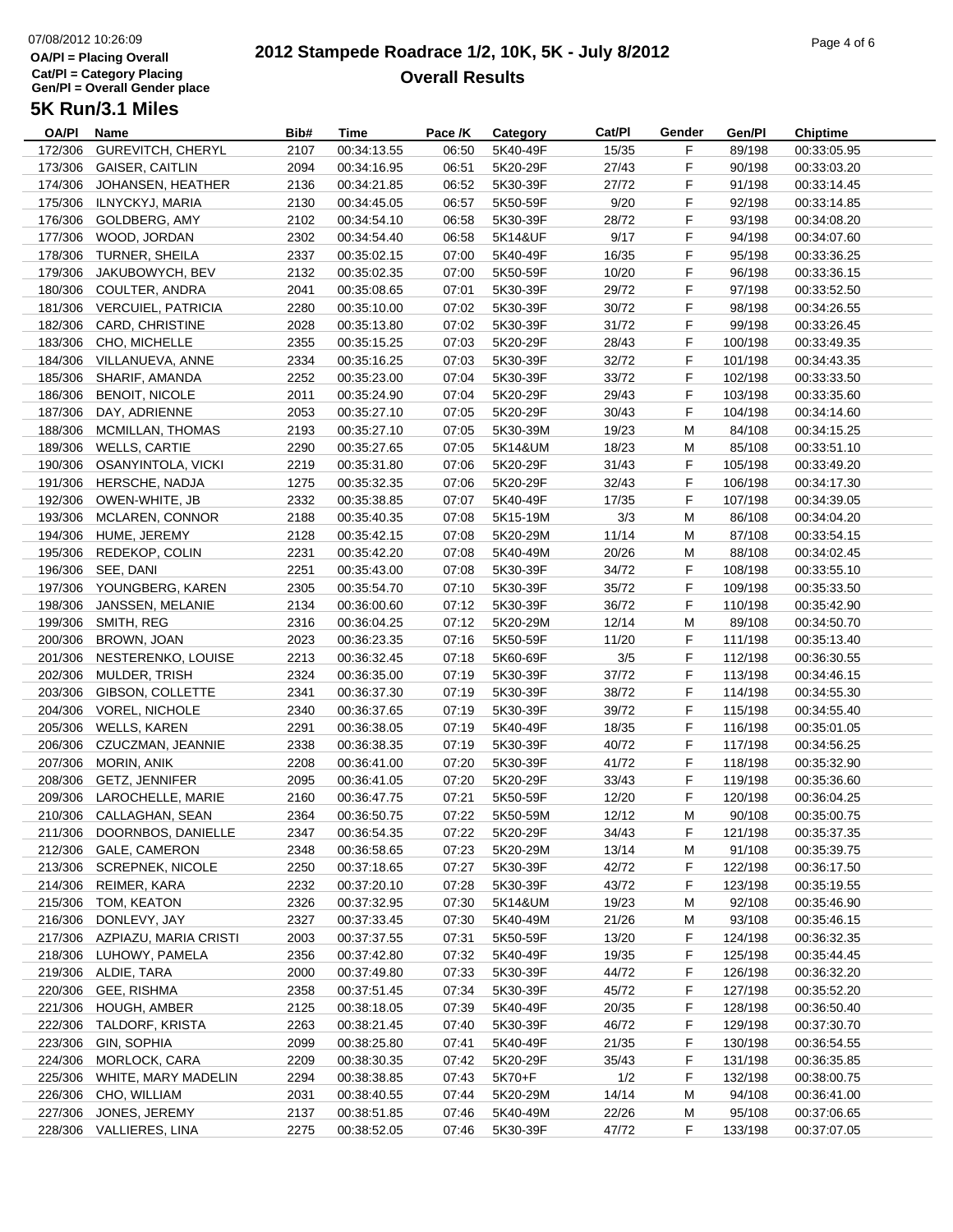# 07/08/2012 10:26:09**OA/Pl = Placing OverallCat/Pl = Category Placing Gen/Pl = Overall Gender place**

#### **2012 Stampede Roadrace 1/2, 10K, 5K - July 8/2012**  $P_1$  of  $P_2$  of  $P_3$  of  $P_4$  of  $P_5$  of  $P_6$  or  $P_7$  or  $P_8$  or  $P_9$  or  $P_9$  or  $P_9$  or  $P_9$  or  $P_9$  or  $P_9$  or  $P_9$  or  $P_9$  or  $P_9$  or  $P_9$  or  $P_9$  or  $P_9$  or  $P_9$  or  $P_9$  or  $P_9$  or  $P_9$  or  $P_9$ **Overall Results**

**Name Bib# Time Category Cat/Pl Gen/Pl Chiptime**

### **5K Run/3.1 Miles**

| <b>OA/PI</b> | Name                          | Bib# | <b>Time</b> | Pace /K | Category | Cat/Pl | Gender | Gen/Pl  | <b>Chiptime</b> |
|--------------|-------------------------------|------|-------------|---------|----------|--------|--------|---------|-----------------|
| 172/306      | GUREVITCH, CHERYL             | 2107 | 00:34:13.55 | 06:50   | 5K40-49F | 15/35  | F      | 89/198  | 00:33:05.95     |
| 173/306      | <b>GAISER, CAITLIN</b>        | 2094 | 00:34:16.95 | 06:51   | 5K20-29F | 27/43  | F      | 90/198  | 00:33:03.20     |
| 174/306      | JOHANSEN, HEATHER             | 2136 | 00:34:21.85 | 06:52   | 5K30-39F | 27/72  | F      | 91/198  | 00:33:14.45     |
| 175/306      | ILNYCKYJ, MARIA               | 2130 | 00:34:45.05 | 06:57   | 5K50-59F | 9/20   | F      | 92/198  | 00:33:14.85     |
| 176/306      | GOLDBERG, AMY                 | 2102 | 00:34:54.10 | 06:58   | 5K30-39F | 28/72  | F      | 93/198  | 00:34:08.20     |
| 177/306      | WOOD, JORDAN                  | 2302 | 00:34:54.40 | 06:58   | 5K14&UF  | 9/17   | F      | 94/198  | 00:34:07.60     |
| 178/306      | TURNER, SHEILA                | 2337 | 00:35:02.15 | 07:00   | 5K40-49F | 16/35  | F      | 95/198  | 00:33:36.25     |
|              |                               |      |             |         |          |        |        |         |                 |
| 179/306      | JAKUBOWYCH, BEV               | 2132 | 00:35:02.35 | 07:00   | 5K50-59F | 10/20  | F      | 96/198  | 00:33:36.15     |
| 180/306      | <b>COULTER, ANDRA</b>         | 2041 | 00:35:08.65 | 07:01   | 5K30-39F | 29/72  | F      | 97/198  | 00:33:52.50     |
| 181/306      | <b>VERCUIEL, PATRICIA</b>     | 2280 | 00:35:10.00 | 07:02   | 5K30-39F | 30/72  | F      | 98/198  | 00:34:26.55     |
| 182/306      | <b>CARD, CHRISTINE</b>        | 2028 | 00:35:13.80 | 07:02   | 5K30-39F | 31/72  | F      | 99/198  | 00:33:26.45     |
| 183/306      | CHO, MICHELLE                 | 2355 | 00:35:15.25 | 07:03   | 5K20-29F | 28/43  | F      | 100/198 | 00:33:49.35     |
| 184/306      | VILLANUEVA, ANNE              | 2334 | 00:35:16.25 | 07:03   | 5K30-39F | 32/72  | F      | 101/198 | 00:34:43.35     |
| 185/306      | SHARIF, AMANDA                | 2252 | 00:35:23.00 | 07:04   | 5K30-39F | 33/72  | F      | 102/198 | 00:33:33.50     |
| 186/306      | <b>BENOIT, NICOLE</b>         | 2011 | 00:35:24.90 | 07:04   | 5K20-29F | 29/43  | F      | 103/198 | 00:33:35.60     |
| 187/306      | DAY, ADRIENNE                 | 2053 | 00:35:27.10 | 07:05   | 5K20-29F | 30/43  | F      | 104/198 | 00:34:14.60     |
| 188/306      | MCMILLAN, THOMAS              | 2193 | 00:35:27.10 | 07:05   | 5K30-39M | 19/23  | M      | 84/108  | 00:34:15.25     |
| 189/306      | <b>WELLS, CARTIE</b>          | 2290 | 00:35:27.65 | 07:05   | 5K14&UM  | 18/23  | М      | 85/108  | 00:33:51.10     |
| 190/306      | OSANYINTOLA, VICKI            | 2219 | 00:35:31.80 | 07:06   | 5K20-29F | 31/43  | F      | 105/198 | 00:33:49.20     |
| 191/306      | HERSCHE, NADJA                | 1275 | 00:35:32.35 | 07:06   | 5K20-29F | 32/43  | F      | 106/198 | 00:34:17.30     |
| 192/306      | OWEN-WHITE, JB                | 2332 | 00:35:38.85 | 07:07   | 5K40-49F | 17/35  | F      | 107/198 | 00:34:39.05     |
| 193/306      | MCLAREN, CONNOR               | 2188 |             | 07:08   | 5K15-19M | 3/3    | M      | 86/108  |                 |
|              |                               |      | 00:35:40.35 |         |          |        |        |         | 00:34:04.20     |
| 194/306      | HUME, JEREMY                  | 2128 | 00:35:42.15 | 07:08   | 5K20-29M | 11/14  | М      | 87/108  | 00:33:54.15     |
| 195/306      | REDEKOP, COLIN                | 2231 | 00:35:42.20 | 07:08   | 5K40-49M | 20/26  | M      | 88/108  | 00:34:02.45     |
| 196/306      | SEE, DANI                     | 2251 | 00:35:43.00 | 07:08   | 5K30-39F | 34/72  | F      | 108/198 | 00:33:55.10     |
| 197/306      | YOUNGBERG, KAREN              | 2305 | 00:35:54.70 | 07:10   | 5K30-39F | 35/72  | F      | 109/198 | 00:35:33.50     |
| 198/306      | JANSSEN, MELANIE              | 2134 | 00:36:00.60 | 07:12   | 5K30-39F | 36/72  | F.     | 110/198 | 00:35:42.90     |
| 199/306      | SMITH, REG                    | 2316 | 00:36:04.25 | 07:12   | 5K20-29M | 12/14  | М      | 89/108  | 00:34:50.70     |
| 200/306      | BROWN, JOAN                   | 2023 | 00:36:23.35 | 07:16   | 5K50-59F | 11/20  | F      | 111/198 | 00:35:13.40     |
| 201/306      | NESTERENKO, LOUISE            | 2213 | 00:36:32.45 | 07:18   | 5K60-69F | $3/5$  | F      | 112/198 | 00:36:30.55     |
| 202/306      | MULDER, TRISH                 | 2324 | 00:36:35.00 | 07:19   | 5K30-39F | 37/72  | F      | 113/198 | 00:34:46.15     |
| 203/306      | GIBSON, COLLETTE              | 2341 | 00:36:37.30 | 07:19   | 5K30-39F | 38/72  | F      | 114/198 | 00:34:55.30     |
| 204/306      | <b>VOREL, NICHOLE</b>         | 2340 | 00:36:37.65 | 07:19   | 5K30-39F | 39/72  | F      | 115/198 | 00:34:55.40     |
| 205/306      | <b>WELLS, KAREN</b>           | 2291 | 00:36:38.05 | 07:19   | 5K40-49F | 18/35  | F      | 116/198 | 00:35:01.05     |
| 206/306      | CZUCZMAN, JEANNIE             | 2338 | 00:36:38.35 | 07:19   | 5K30-39F | 40/72  | F.     | 117/198 | 00:34:56.25     |
| 207/306      | <b>MORIN, ANIK</b>            | 2208 | 00:36:41.00 | 07:20   | 5K30-39F | 41/72  | F      | 118/198 | 00:35:32.90     |
| 208/306      | <b>GETZ, JENNIFER</b>         | 2095 | 00:36:41.05 | 07:20   | 5K20-29F | 33/43  | F      | 119/198 | 00:35:36.60     |
| 209/306      | LAROCHELLE, MARIE             | 2160 | 00:36:47.75 | 07:21   | 5K50-59F | 12/20  | F      | 120/198 | 00:36:04.25     |
| 210/306      | CALLAGHAN, SEAN               | 2364 | 00:36:50.75 | 07:22   | 5K50-59M | 12/12  | M      | 90/108  | 00:35:00.75     |
|              | 211/306 DOORNBOS, DANIELLE    |      |             |         |          |        |        |         |                 |
|              |                               | 2347 | 00:36:54.35 | 07:22   | 5K20-29F | 34/43  | F      | 121/198 | 00:35:37.35     |
| 212/306      | <b>GALE, CAMERON</b>          | 2348 | 00:36:58.65 | 07:23   | 5K20-29M | 13/14  | М      | 91/108  | 00:35:39.75     |
| 213/306      | <b>SCREPNEK, NICOLE</b>       | 2250 | 00:37:18.65 | 07:27   | 5K30-39F | 42/72  | F      | 122/198 | 00:36:17.50     |
| 214/306      | REIMER, KARA                  | 2232 | 00:37:20.10 | 07:28   | 5K30-39F | 43/72  | F.     | 123/198 | 00:35:19.55     |
| 215/306      | TOM, KEATON                   | 2326 | 00:37:32.95 | 07:30   | 5K14&UM  | 19/23  | М      | 92/108  | 00:35:46.90     |
| 216/306      | DONLEVY, JAY                  | 2327 | 00:37:33.45 | 07:30   | 5K40-49M | 21/26  | М      | 93/108  | 00:35:46.15     |
|              | 217/306 AZPIAZU, MARIA CRISTI | 2003 | 00:37:37.55 | 07:31   | 5K50-59F | 13/20  | F      | 124/198 | 00:36:32.35     |
| 218/306      | LUHOWY, PAMELA                | 2356 | 00:37:42.80 | 07:32   | 5K40-49F | 19/35  | F      | 125/198 | 00:35:44.45     |
|              | 219/306 ALDIE, TARA           | 2000 | 00:37:49.80 | 07:33   | 5K30-39F | 44/72  | F      | 126/198 | 00:36:32.20     |
| 220/306      | GEE, RISHMA                   | 2358 | 00:37:51.45 | 07:34   | 5K30-39F | 45/72  | F      | 127/198 | 00:35:52.20     |
| 221/306      | <b>HOUGH, AMBER</b>           | 2125 | 00:38:18.05 | 07:39   | 5K40-49F | 20/35  | F      | 128/198 | 00:36:50.40     |
| 222/306      | TALDORF, KRISTA               | 2263 | 00:38:21.45 | 07:40   | 5K30-39F | 46/72  | F.     | 129/198 | 00:37:30.70     |
| 223/306      | GIN, SOPHIA                   | 2099 | 00:38:25.80 | 07:41   | 5K40-49F | 21/35  | F.     | 130/198 | 00:36:54.55     |
| 224/306      | MORLOCK, CARA                 | 2209 | 00:38:30.35 | 07:42   | 5K20-29F | 35/43  | F.     | 131/198 | 00:36:35.85     |
| 225/306      | WHITE, MARY MADELIN           | 2294 | 00:38:38.85 | 07:43   | 5K70+F   | 1/2    | F      | 132/198 | 00:38:00.75     |
| 226/306      | CHO, WILLIAM                  | 2031 | 00:38:40.55 | 07:44   | 5K20-29M | 14/14  | M      | 94/108  | 00:36:41.00     |
| 227/306      | JONES, JEREMY                 |      | 00:38:51.85 | 07:46   | 5K40-49M | 22/26  | M      | 95/108  | 00:37:06.65     |
|              |                               | 2137 |             |         |          |        |        |         |                 |
|              | 228/306 VALLIERES, LINA       | 2275 | 00:38:52.05 | 07:46   | 5K30-39F | 47/72  | F      | 133/198 | 00:37:07.05     |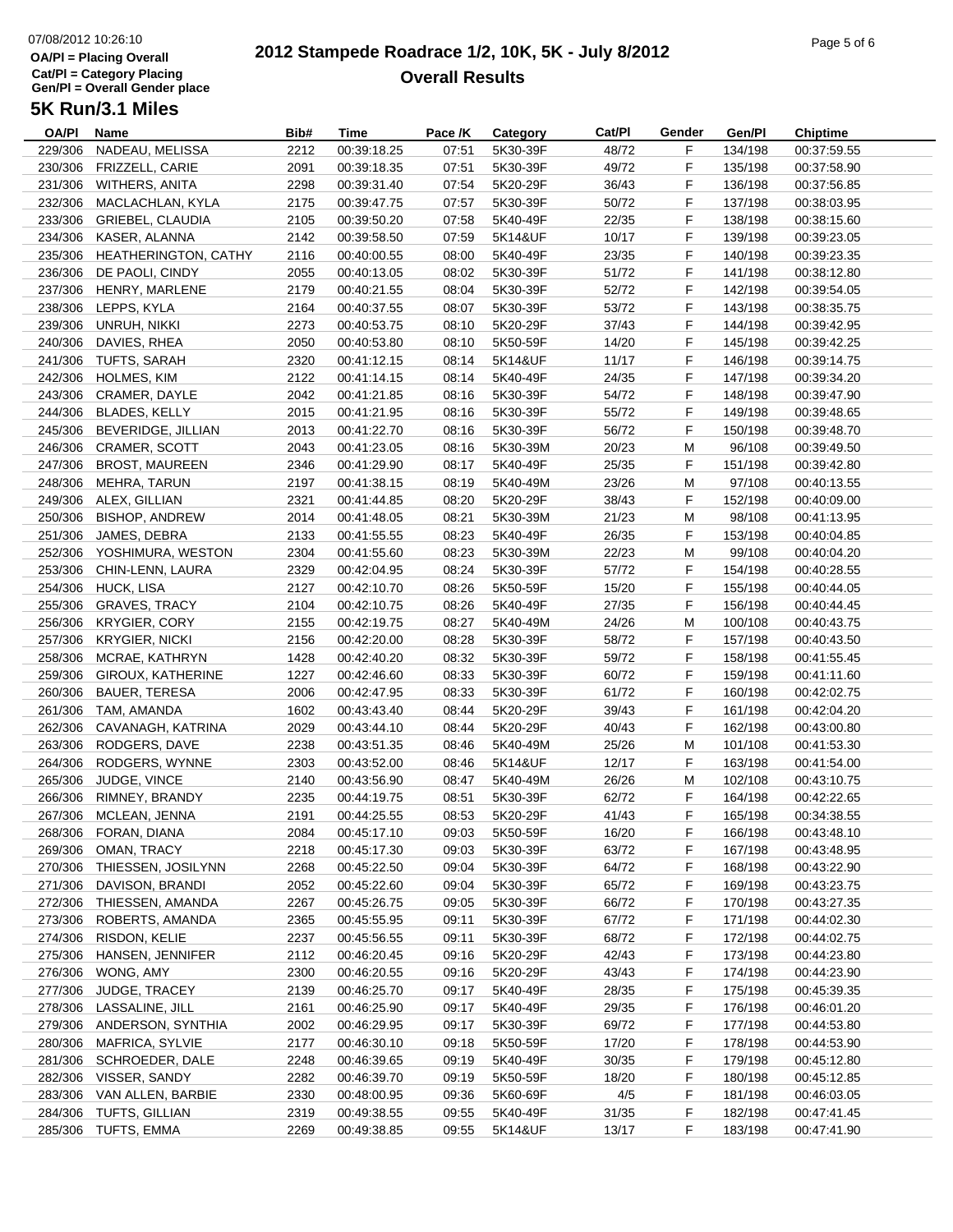## 07/08/2012 10:26:10**OA/Pl = Placing OverallCat/Pl = Category Placing Gen/Pl = Overall Gender place**

#### **2012 Stampede Roadrace 1/2, 10K, 5K - July 8/2012**  $P_1$  of  $P_2$  of  $P_3$  of  $P_4$  of  $P_5$  of  $P_6$  of  $P_7$  of  $P_8$  or  $P_9$  or  $P_9$  or  $P_9$  or  $P_9$  or  $P_9$  or  $P_9$  or  $P_9$  or  $P_9$  or  $P_9$  or  $P_9$  or  $P_9$  or  $P_9$  or  $P_9$  or  $P_9$  or  $P_9$  or  $P_9$  or  $P_9$ **Overall Results**

| OA/PI   | Name                        | Bib# | Time        | Pace /K | Category | Cat/PI | Gender | Gen/Pl  | <b>Chiptime</b> |
|---------|-----------------------------|------|-------------|---------|----------|--------|--------|---------|-----------------|
| 229/306 | NADEAU, MELISSA             | 2212 | 00:39:18.25 | 07:51   | 5K30-39F | 48/72  | F      | 134/198 | 00:37:59.55     |
| 230/306 | FRIZZELL, CARIE             | 2091 | 00:39:18.35 | 07:51   | 5K30-39F | 49/72  | F      | 135/198 | 00:37:58.90     |
| 231/306 | <b>WITHERS, ANITA</b>       | 2298 | 00:39:31.40 | 07:54   | 5K20-29F | 36/43  | F      | 136/198 | 00:37:56.85     |
| 232/306 | MACLACHLAN, KYLA            | 2175 | 00:39:47.75 | 07:57   | 5K30-39F | 50/72  | F      | 137/198 | 00:38:03.95     |
| 233/306 | <b>GRIEBEL, CLAUDIA</b>     | 2105 | 00:39:50.20 | 07:58   | 5K40-49F | 22/35  | F      | 138/198 | 00:38:15.60     |
| 234/306 | KASER, ALANNA               | 2142 | 00:39:58.50 | 07:59   | 5K14&UF  | 10/17  | F      | 139/198 | 00:39:23.05     |
| 235/306 | <b>HEATHERINGTON, CATHY</b> | 2116 | 00:40:00.55 | 08:00   | 5K40-49F | 23/35  | F      | 140/198 | 00:39:23.35     |
| 236/306 | DE PAOLI, CINDY             | 2055 | 00:40:13.05 | 08:02   | 5K30-39F | 51/72  | F      | 141/198 | 00:38:12.80     |
| 237/306 | HENRY, MARLENE              | 2179 | 00:40:21.55 | 08:04   | 5K30-39F | 52/72  | F      | 142/198 | 00:39:54.05     |
| 238/306 | LEPPS, KYLA                 | 2164 | 00:40:37.55 | 08:07   | 5K30-39F | 53/72  | F      | 143/198 | 00:38:35.75     |
|         | 239/306 UNRUH, NIKKI        | 2273 | 00:40:53.75 | 08:10   | 5K20-29F | 37/43  | F      | 144/198 | 00:39:42.95     |
| 240/306 | DAVIES, RHEA                | 2050 | 00:40:53.80 | 08:10   | 5K50-59F | 14/20  | F.     | 145/198 | 00:39:42.25     |
| 241/306 | TUFTS, SARAH                | 2320 | 00:41:12.15 | 08:14   | 5K14&UF  | 11/17  | F      | 146/198 | 00:39:14.75     |
| 242/306 | HOLMES, KIM                 | 2122 | 00:41:14.15 | 08:14   | 5K40-49F | 24/35  | F      | 147/198 | 00:39:34.20     |
| 243/306 | CRAMER, DAYLE               | 2042 | 00:41:21.85 | 08:16   | 5K30-39F | 54/72  | F      | 148/198 | 00:39:47.90     |
|         | 244/306 BLADES, KELLY       | 2015 | 00:41:21.95 | 08:16   | 5K30-39F | 55/72  | F      | 149/198 | 00:39:48.65     |
|         |                             |      |             |         |          |        | F      |         |                 |
| 245/306 | BEVERIDGE, JILLIAN          | 2013 | 00:41:22.70 | 08:16   | 5K30-39F | 56/72  |        | 150/198 | 00:39:48.70     |
|         | 246/306 CRAMER, SCOTT       | 2043 | 00:41:23.05 | 08:16   | 5K30-39M | 20/23  | М      | 96/108  | 00:39:49.50     |
| 247/306 | <b>BROST, MAUREEN</b>       | 2346 | 00:41:29.90 | 08:17   | 5K40-49F | 25/35  | F      | 151/198 | 00:39:42.80     |
| 248/306 | MEHRA, TARUN                | 2197 | 00:41:38.15 | 08:19   | 5K40-49M | 23/26  | М      | 97/108  | 00:40:13.55     |
| 249/306 | ALEX, GILLIAN               | 2321 | 00:41:44.85 | 08:20   | 5K20-29F | 38/43  | F      | 152/198 | 00:40:09.00     |
| 250/306 | <b>BISHOP, ANDREW</b>       | 2014 | 00:41:48.05 | 08:21   | 5K30-39M | 21/23  | М      | 98/108  | 00:41:13.95     |
| 251/306 | JAMES, DEBRA                | 2133 | 00:41:55.55 | 08:23   | 5K40-49F | 26/35  | F      | 153/198 | 00:40:04.85     |
| 252/306 | YOSHIMURA, WESTON           | 2304 | 00:41:55.60 | 08:23   | 5K30-39M | 22/23  | М      | 99/108  | 00:40:04.20     |
| 253/306 | CHIN-LENN, LAURA            | 2329 | 00:42:04.95 | 08:24   | 5K30-39F | 57/72  | F      | 154/198 | 00:40:28.55     |
| 254/306 | HUCK, LISA                  | 2127 | 00:42:10.70 | 08:26   | 5K50-59F | 15/20  | F      | 155/198 | 00:40:44.05     |
|         | 255/306 GRAVES, TRACY       | 2104 | 00:42:10.75 | 08:26   | 5K40-49F | 27/35  | F      | 156/198 | 00:40:44.45     |
|         | 256/306 KRYGIER, CORY       | 2155 | 00:42:19.75 | 08:27   | 5K40-49M | 24/26  | М      | 100/108 | 00:40:43.75     |
| 257/306 | KRYGIER, NICKI              | 2156 | 00:42:20.00 | 08:28   | 5K30-39F | 58/72  | F      | 157/198 | 00:40:43.50     |
| 258/306 | MCRAE, KATHRYN              | 1428 | 00:42:40.20 | 08:32   | 5K30-39F | 59/72  | F      | 158/198 | 00:41:55.45     |
| 259/306 | <b>GIROUX, KATHERINE</b>    | 1227 | 00:42:46.60 | 08:33   | 5K30-39F | 60/72  | F      | 159/198 | 00:41:11.60     |
| 260/306 | <b>BAUER, TERESA</b>        | 2006 | 00:42:47.95 | 08:33   | 5K30-39F | 61/72  | F      | 160/198 | 00:42:02.75     |
| 261/306 | TAM, AMANDA                 | 1602 | 00:43:43.40 | 08:44   | 5K20-29F | 39/43  | F      | 161/198 | 00:42:04.20     |
| 262/306 | CAVANAGH, KATRINA           | 2029 | 00:43:44.10 | 08:44   | 5K20-29F | 40/43  | F      | 162/198 | 00:43:00.80     |
| 263/306 | RODGERS, DAVE               | 2238 | 00:43:51.35 | 08:46   | 5K40-49M | 25/26  | М      | 101/108 | 00:41:53.30     |
| 264/306 | RODGERS, WYNNE              | 2303 | 00:43:52.00 | 08:46   | 5K14&UF  | 12/17  | F      | 163/198 | 00:41:54.00     |
| 265/306 | JUDGE, VINCE                | 2140 | 00:43:56.90 | 08:47   | 5K40-49M | 26/26  | М      | 102/108 | 00:43:10.75     |
| 266/306 | RIMNEY, BRANDY              | 2235 | 00:44:19.75 | 08:51   | 5K30-39F | 62/72  | F      | 164/198 | 00:42:22.65     |
| 267/306 | MCLEAN, JENNA               | 2191 | 00:44:25.55 | 08:53   | 5K20-29F | 41/43  | F.     | 165/198 | 00:34:38.55     |
|         | 268/306 FORAN, DIANA        | 2084 | 00:45:17.10 | 09:03   | 5K50-59F | 16/20  | F      | 166/198 | 00:43:48.10     |
| 269/306 | OMAN, TRACY                 | 2218 | 00:45:17.30 | 09:03   | 5K30-39F | 63/72  | F      | 167/198 | 00:43:48.95     |
| 270/306 | THIESSEN, JOSILYNN          | 2268 | 00:45:22.50 | 09:04   | 5K30-39F | 64/72  | F      | 168/198 | 00:43:22.90     |
| 271/306 | DAVISON, BRANDI             | 2052 | 00:45:22.60 | 09:04   | 5K30-39F | 65/72  | F      | 169/198 | 00:43:23.75     |
| 272/306 | THIESSEN, AMANDA            | 2267 | 00:45:26.75 | 09:05   | 5K30-39F | 66/72  | F      | 170/198 | 00:43:27.35     |
| 273/306 | ROBERTS, AMANDA             | 2365 | 00:45:55.95 | 09:11   | 5K30-39F | 67/72  | F      | 171/198 | 00:44:02.30     |
| 274/306 | RISDON, KELIE               | 2237 | 00:45:56.55 | 09:11   | 5K30-39F | 68/72  | F.     | 172/198 | 00:44:02.75     |
| 275/306 | HANSEN, JENNIFER            | 2112 | 00:46:20.45 | 09:16   | 5K20-29F | 42/43  | F      | 173/198 | 00:44:23.80     |
|         | WONG, AMY                   |      |             |         |          |        | F      | 174/198 | 00:44:23.90     |
| 276/306 |                             | 2300 | 00:46:20.55 | 09:16   | 5K20-29F | 43/43  |        |         |                 |
| 277/306 | JUDGE, TRACEY               | 2139 | 00:46:25.70 | 09:17   | 5K40-49F | 28/35  | F      | 175/198 | 00:45:39.35     |
| 278/306 | LASSALINE, JILL             | 2161 | 00:46:25.90 | 09:17   | 5K40-49F | 29/35  | F.     | 176/198 | 00:46:01.20     |
| 279/306 | ANDERSON, SYNTHIA           | 2002 | 00:46:29.95 | 09:17   | 5K30-39F | 69/72  | F      | 177/198 | 00:44:53.80     |
| 280/306 | MAFRICA, SYLVIE             | 2177 | 00:46:30.10 | 09:18   | 5K50-59F | 17/20  | F.     | 178/198 | 00:44:53.90     |
| 281/306 | SCHROEDER, DALE             | 2248 | 00:46:39.65 | 09:19   | 5K40-49F | 30/35  | F      | 179/198 | 00:45:12.80     |
| 282/306 | VISSER, SANDY               | 2282 | 00:46:39.70 | 09:19   | 5K50-59F | 18/20  | F.     | 180/198 | 00:45:12.85     |
| 283/306 | VAN ALLEN, BARBIE           | 2330 | 00:48:00.95 | 09:36   | 5K60-69F | 4/5    | F      | 181/198 | 00:46:03.05     |
| 284/306 | TUFTS, GILLIAN              | 2319 | 00:49:38.55 | 09:55   | 5K40-49F | 31/35  | F      | 182/198 | 00:47:41.45     |
|         | 285/306 TUFTS, EMMA         | 2269 | 00:49:38.85 | 09:55   | 5K14&UF  | 13/17  | F      | 183/198 | 00:47:41.90     |